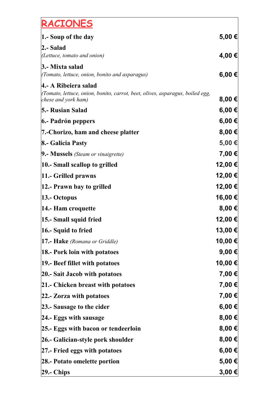## **RACIONES**

| $ 1 - \text{Soup of the day} $                                                                        | 5,00 €     |
|-------------------------------------------------------------------------------------------------------|------------|
| 2.- Salad                                                                                             |            |
| (Lettuce, tomato and onion)                                                                           | 4,00 €     |
| 3.- Mixta salad                                                                                       |            |
| <i>(Tomato, lettuce, onion, bonito and asparagus)</i>                                                 | 6,00 €     |
| 4.- A Ribeiera salad<br>(Tomato, lettuce, onion, bonito, carrot, beet, olives, asparagus, boiled egg, |            |
| chese and york ham)                                                                                   | 8,00 €     |
| 5.- Rusian Salad                                                                                      | 6,00€      |
| 6.- Padrón peppers                                                                                    | 6,00 €     |
| 7.-Chorizo, ham and cheese platter                                                                    | 8,00 €     |
| 8.- Galicia Pasty                                                                                     | 5,00 €     |
| 9.- Mussels (Steam or vinaigrette)                                                                    | 7,00 €     |
| 10.- Small scallop to grilled                                                                         | 12,00 €    |
| 11.- Grilled prawns                                                                                   | 12,00 €    |
| 12.- Prawn bay to grilled                                                                             | 12,00 €    |
| $ 13.5 \text{ Octopus} \$                                                                             | 16,00 €    |
| 14.- Ham croquette                                                                                    | $8,00 \in$ |
| 15.- Small squid fried                                                                                | 12,00 €    |
| $ 16$ .- Squid to fried                                                                               | 13,00 €∣   |
| <b>17.- Hake</b> (Romana or Griddle)                                                                  | 10,00 €    |
| <b>18.- Pork loin with potatoes</b>                                                                   | $9,00 \in$ |
| 19.- Beef fillet with potatoes                                                                        | 10,00 €    |
| 20.- Sait Jacob with potatoes                                                                         | 7,00 €     |
| 21.- Chicken breast with potatoes                                                                     | 7,00 €     |
| 22.- Zorza with potatoes                                                                              | 7,00 €     |
| 23.- Sausage to the cider                                                                             | 6,00 €     |
| $ 24.$ - Eggs with sausage                                                                            | 8,00 €     |
| 25.- Eggs with bacon or tendeerloin                                                                   | 8,00 €     |
| 26.- Galician-style pork shoulder                                                                     | 8,00 €     |
| 27.- Fried eggs with potatoes                                                                         | 6,00 €     |
| 28.- Potato omelette portion                                                                          | 5,00 €     |
| $ 29. - Chips $                                                                                       | 3,00 €     |